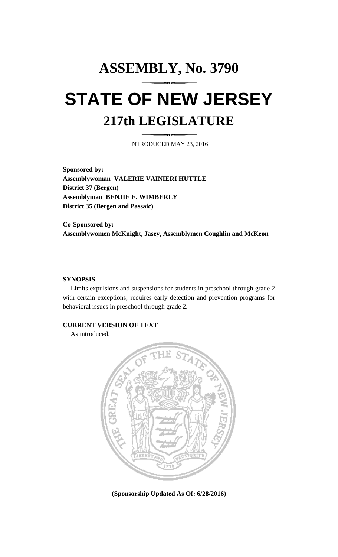# **ASSEMBLY, No. 3790 STATE OF NEW JERSEY 217th LEGISLATURE**

INTRODUCED MAY 23, 2016

**Sponsored by: Assemblywoman VALERIE VAINIERI HUTTLE District 37 (Bergen) Assemblyman BENJIE E. WIMBERLY District 35 (Bergen and Passaic)**

**Co-Sponsored by: Assemblywomen McKnight, Jasey, Assemblymen Coughlin and McKeon**

#### **SYNOPSIS**

Limits expulsions and suspensions for students in preschool through grade 2 with certain exceptions; requires early detection and prevention programs for behavioral issues in preschool through grade 2.

### **CURRENT VERSION OF TEXT**

As introduced.



**(Sponsorship Updated As Of: 6/28/2016)**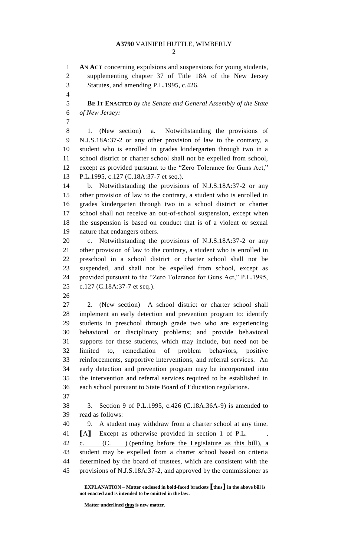## **A3790** VAINIERI HUTTLE, WIMBERLY

 **AN ACT** concerning expulsions and suspensions for young students, supplementing chapter 37 of Title 18A of the New Jersey Statutes, and amending P.L.1995, c.426. **BE IT ENACTED** *by the Senate and General Assembly of the State of New Jersey:* 1. (New section) a. Notwithstanding the provisions of N.J.S.18A:37-2 or any other provision of law to the contrary, a student who is enrolled in grades kindergarten through two in a school district or charter school shall not be expelled from school, except as provided pursuant to the "Zero Tolerance for Guns Act," P.L.1995, c.127 (C.18A:37-7 et seq.). b. Notwithstanding the provisions of N.J.S.18A:37-2 or any other provision of law to the contrary, a student who is enrolled in grades kindergarten through two in a school district or charter school shall not receive an out-of-school suspension, except when the suspension is based on conduct that is of a violent or sexual nature that endangers others. c. Notwithstanding the provisions of N.J.S.18A:37-2 or any other provision of law to the contrary, a student who is enrolled in preschool in a school district or charter school shall not be suspended, and shall not be expelled from school, except as provided pursuant to the "Zero Tolerance for Guns Act," P.L.1995, c.127 (C.18A:37-7 et seq.). 2. (New section) A school district or charter school shall implement an early detection and prevention program to: identify students in preschool through grade two who are experiencing behavioral or disciplinary problems; and provide behavioral supports for these students, which may include, but need not be limited to, remediation of problem behaviors, positive reinforcements, supportive interventions, and referral services. An early detection and prevention program may be incorporated into the intervention and referral services required to be established in each school pursuant to State Board of Education regulations. 3. Section 9 of P.L.1995, c.426 (C.18A:36A-9) is amended to read as follows: 9. A student may withdraw from a charter school at any time. **[**A**]** Except as otherwise provided in section 1 of P.L. , 42 c. (C. ) (pending before the Legislature as this bill), a student may be expelled from a charter school based on criteria determined by the board of trustees, which are consistent with the

provisions of N.J.S.18A:37-2, and approved by the commissioner as

**EXPLANATION – Matter enclosed in bold-faced brackets [thus] in the above bill is not enacted and is intended to be omitted in the law.**

**Matter underlined thus is new matter.**